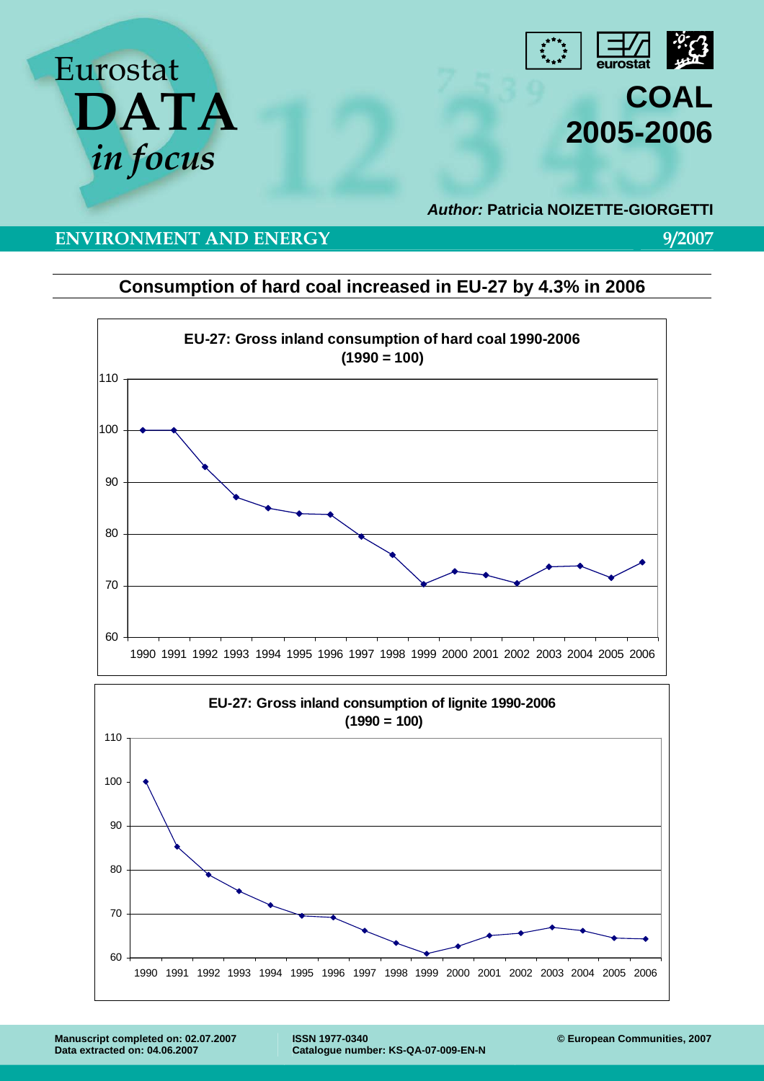

# **COAL 2005-2006**

#### *Author:* **Patricia NOIZETTE-GIORGETTI**

## **ENVIRONMENT AND ENERGY 19/2007**

**DATA** 

*in focus* 

## **Consumption of hard coal increased in EU-27 by 4.3% in 2006**



**Manuscript completed on: 02.07.2007 Data extracted on: 04.06.2007** 

**ISSN 1977-0340 Catalogue number: KS-QA-07-009-EN-N**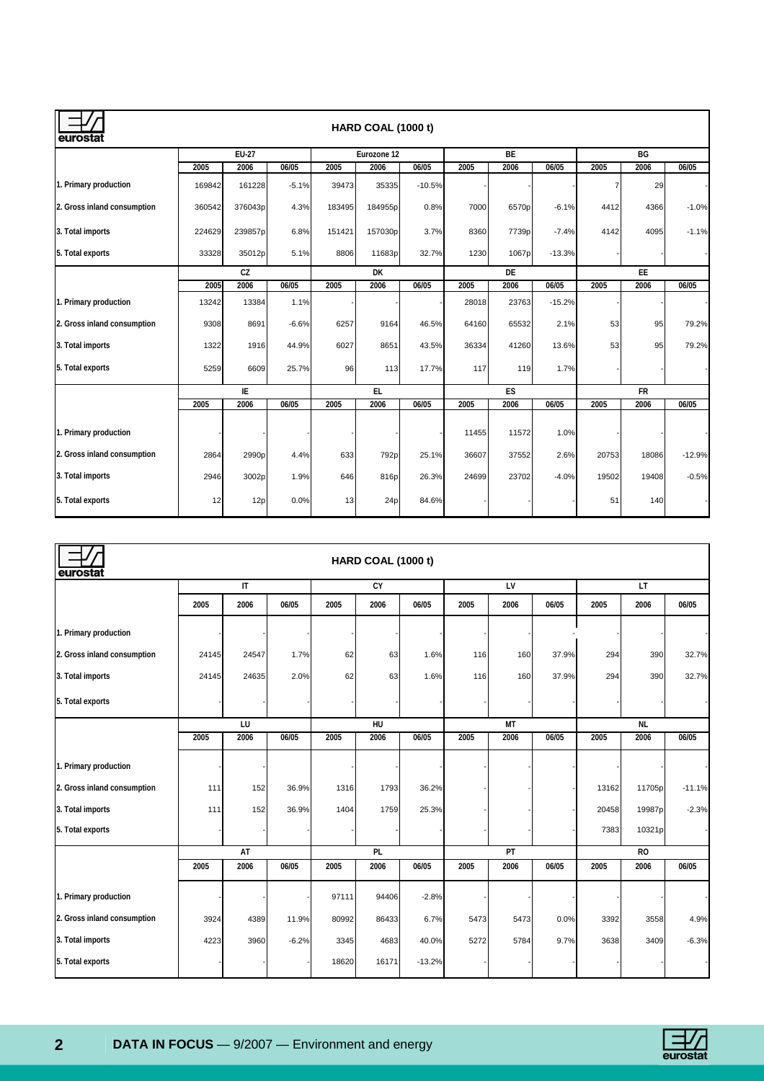| eurostat                    |        |         |         |             | <b>HARD COAL (1000 t)</b> |          |       |           |          |           |       |          |
|-----------------------------|--------|---------|---------|-------------|---------------------------|----------|-------|-----------|----------|-----------|-------|----------|
|                             |        | EU-27   |         | Eurozone 12 |                           |          |       | <b>BE</b> |          | BG        |       |          |
|                             | 2005   | 2006    | 06/05   | 2005        | 2006                      | 06/05    | 2005  | 2006      | 06/05    | 2005      | 2006  | 06/05    |
| 1. Primary production       | 169842 | 161228  | $-5.1%$ | 39473       | 35335                     | $-10.5%$ |       |           |          |           | 29    |          |
| 2. Gross inland consumption | 360542 | 376043p | 4.3%    | 183495      | 184955p                   | 0.8%     | 7000  | 6570p     | $-6.1%$  | 4412      | 4366  | $-1.0%$  |
| 3. Total imports            | 224629 | 239857p | 6.8%    | 151421      | 157030p                   | 3.7%     | 8360  | 7739p     | $-7.4%$  | 4142      | 4095  | $-1.1%$  |
| 5. Total exports            | 33328  | 35012p  | 5.1%    | 8806        | 11683p                    | 32.7%    | 1230  | 1067p     | $-13.3%$ |           |       |          |
|                             | CZ     |         |         | <b>DK</b>   |                           |          |       | DE        |          | EE        |       |          |
|                             | 2005   | 2006    | 06/05   | 2005        | 2006                      | 06/05    | 2005  | 2006      | 06/05    | 2005      | 2006  | 06/05    |
| 1. Primary production       | 13242  | 13384   | 1.1%    |             |                           |          | 28018 | 23763     | $-15.2%$ |           |       |          |
| 2. Gross inland consumption | 9308   | 8691    | $-6.6%$ | 6257        | 9164                      | 46.5%    | 64160 | 65532     | 2.1%     | 53        | 95    | 79.2%    |
| 3. Total imports            | 1322   | 1916    | 44.9%   | 6027        | 8651                      | 43.5%    | 36334 | 41260     | 13.6%    | 53        | 95    | 79.2%    |
| 5. Total exports            | 5259   | 6609    | 25.7%   | 96          | 113                       | 17.7%    | 117   | 119       | 1.7%     |           |       |          |
|                             |        | IE      |         |             | <b>EL</b>                 |          |       | ES        |          | <b>FR</b> |       |          |
|                             | 2005   | 2006    | 06/05   | 2005        | 2006                      | 06/05    | 2005  | 2006      | 06/05    | 2005      | 2006  | 06/05    |
| 1. Primary production       |        |         |         |             |                           |          | 11455 | 11572     | 1.0%     |           |       |          |
| 2. Gross inland consumption | 2864   | 2990p   | 4.4%    | 633         | 792p                      | 25.1%    | 36607 | 37552     | 2.6%     | 20753     | 18086 | $-12.9%$ |
| 3. Total imports            | 2946   | 3002pl  | 1.9%    | 646         | 816p                      | 26.3%    | 24699 | 23702     | $-4.0%$  | 19502     | 19408 | $-0.5%$  |
| 5. Total exports            | 12     | 12p     | 0.0%    | 13          | 24 <sub>p</sub>           | 84.6%    |       |           |          | 51        | 140   |          |

| HARD COAL (1000 t)<br>eurostat |       |                        |         |       |       |          |      |      |       |                |        |          |  |
|--------------------------------|-------|------------------------|---------|-------|-------|----------|------|------|-------|----------------|--------|----------|--|
|                                |       | $\mathsf{I}\mathsf{T}$ |         | CY    |       |          |      | LV   |       | LT             |        |          |  |
|                                | 2005  | 2006                   | 06/05   | 2005  | 2006  | 06/05    | 2005 | 2006 | 06/05 | 2005           | 2006   | 06/05    |  |
| 1. Primary production          |       |                        |         |       |       |          |      |      |       |                |        |          |  |
| 2. Gross inland consumption    | 24145 | 24547                  | 1.7%    | 62    | 63    | 1.6%     | 116  | 160  | 37.9% | 294            | 390    | 32.7%    |  |
| 3. Total imports               | 24145 | 24635                  | 2.0%    | 62    | 63    | 1.6%     | 116  | 160  | 37.9% | 294            | 390    | 32.7%    |  |
| 5. Total exports               |       |                        |         |       |       |          |      |      |       |                |        |          |  |
|                                |       | LU                     |         | HU    |       |          |      | MT   |       | <b>NL</b>      |        |          |  |
|                                | 2005  | 2006                   | 06/05   | 2005  | 2006  | 06/05    | 2005 | 2006 | 06/05 | 2005           | 2006   | 06/05    |  |
| 1. Primary production          |       |                        |         |       |       |          |      |      |       |                |        |          |  |
| 2. Gross inland consumption    | 111   | 152                    | 36.9%   | 1316  | 1793  | 36.2%    |      |      |       | 13162          | 11705p | $-11.1%$ |  |
| 3. Total imports               | 111   | 152                    | 36.9%   | 1404  | 1759  | 25.3%    |      |      |       | 20458          | 19987p | $-2.3%$  |  |
| 5. Total exports               |       |                        |         |       |       |          |      |      |       | 7383           | 10321p |          |  |
|                                |       | AT                     |         | PL    |       |          |      | PT   |       | R <sub>O</sub> |        |          |  |
|                                | 2005  | 2006                   | 06/05   | 2005  | 2006  | 06/05    | 2005 | 2006 | 06/05 | 2005           | 2006   | 06/05    |  |
| 1. Primary production          |       |                        |         | 97111 | 94406 | $-2.8%$  |      |      |       |                |        |          |  |
| 2. Gross inland consumption    | 3924  | 4389                   | 11.9%   | 80992 | 86433 | 6.7%     | 5473 | 5473 | 0.0%  | 3392           | 3558   | 4.9%     |  |
| 3. Total imports               | 4223  | 3960                   | $-6.2%$ | 3345  | 4683  | 40.0%    | 5272 | 5784 | 9.7%  | 3638           | 3409   | $-6.3%$  |  |
| 5. Total exports               |       |                        |         | 18620 | 16171 | $-13.2%$ |      |      |       |                |        |          |  |

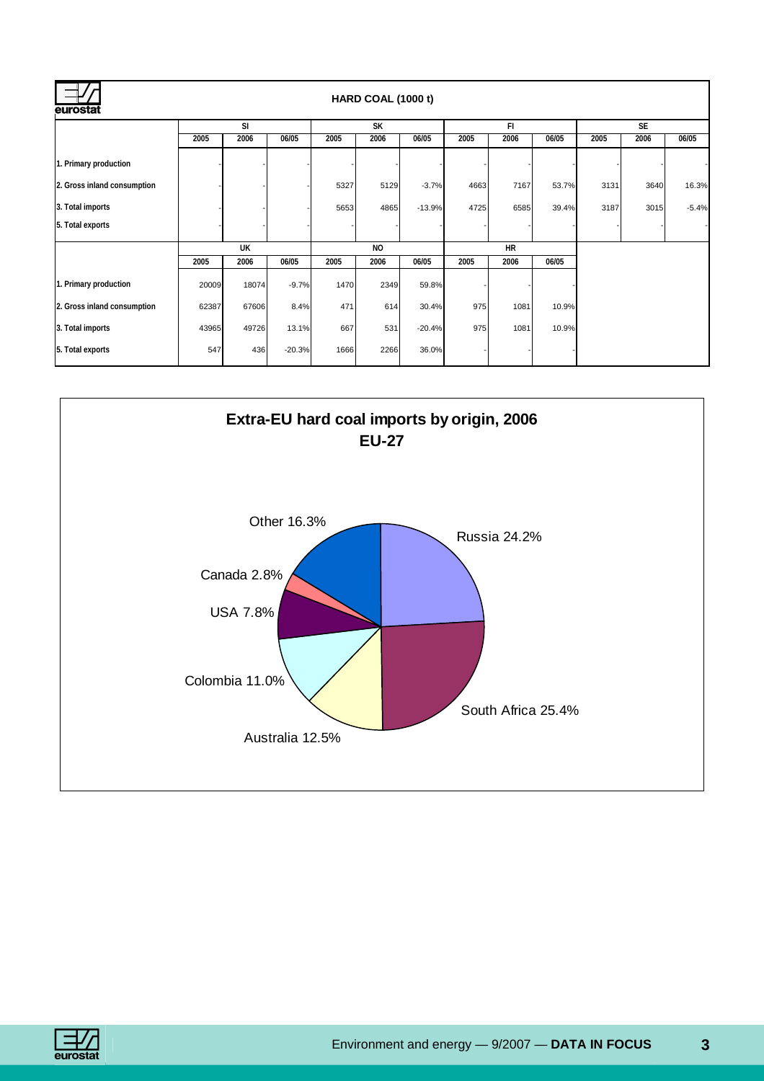| HARD COAL (1000 t)<br>eurostat |       |       |          |           |           |          |      |           |       |      |      |         |  |
|--------------------------------|-------|-------|----------|-----------|-----------|----------|------|-----------|-------|------|------|---------|--|
|                                | SI    |       |          | <b>SK</b> |           |          | FI.  |           |       | SE   |      |         |  |
|                                | 2005  | 2006  | 06/05    | 2005      | 2006      | 06/05    | 2005 | 2006      | 06/05 | 2005 | 2006 | 06/05   |  |
| 1. Primary production          |       |       |          |           |           |          |      |           |       |      |      |         |  |
| 2. Gross inland consumption    |       |       |          | 5327      | 5129      | $-3.7%$  | 4663 | 7167      | 53.7% | 3131 | 3640 | 16.3%   |  |
| 3. Total imports               |       |       |          | 5653      | 4865      | $-13.9%$ | 4725 | 6585      | 39.4% | 3187 | 3015 | $-5.4%$ |  |
| 5. Total exports               |       |       |          |           |           |          |      |           |       |      |      |         |  |
|                                |       | UK    |          |           | <b>NO</b> |          |      | <b>HR</b> |       |      |      |         |  |
|                                | 2005  | 2006  | 06/05    | 2005      | 2006      | 06/05    | 2005 | 2006      | 06/05 |      |      |         |  |
| 1. Primary production          | 20009 | 18074 | $-9.7%$  | 1470      | 2349      | 59.8%    |      |           |       |      |      |         |  |
| 2. Gross inland consumption    | 62387 | 67606 | 8.4%     | 471       | 614       | 30.4%    | 975  | 1081      | 10.9% |      |      |         |  |
| 3. Total imports               | 43965 | 49726 | 13.1%    | 667       | 531       | $-20.4%$ | 975  | 1081      | 10.9% |      |      |         |  |
| 5. Total exports               | 547   | 436   | $-20.3%$ | 1666      | 2266      | 36.0%    |      |           |       |      |      |         |  |



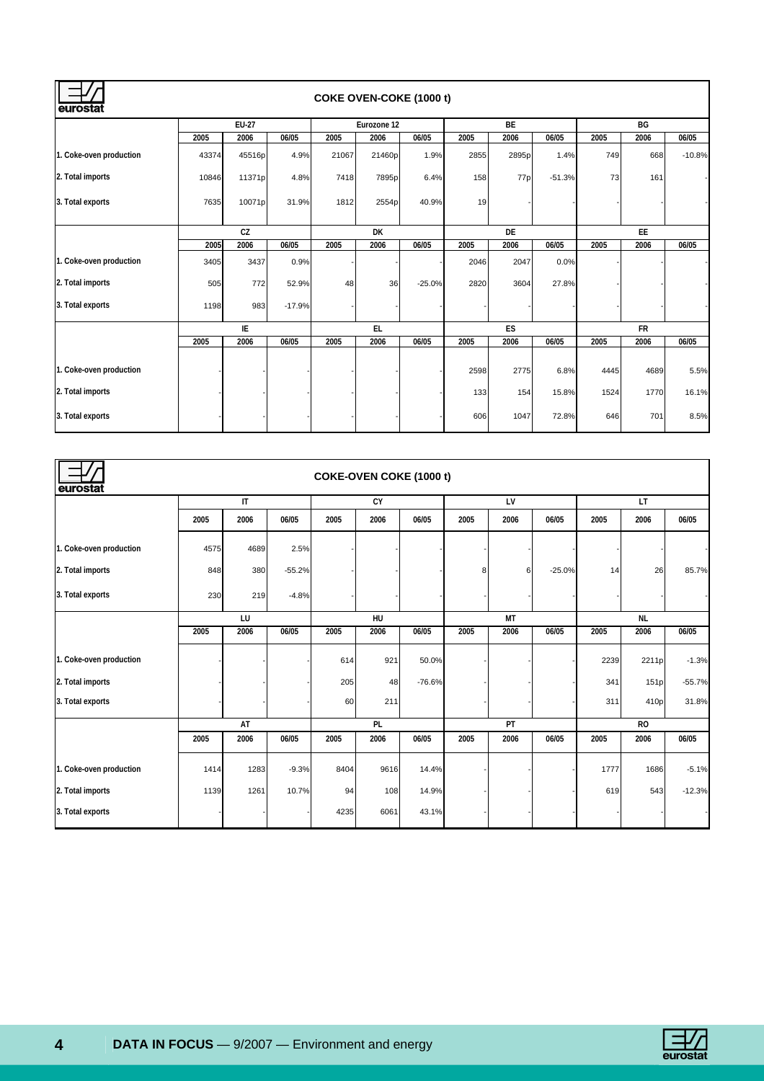| eurostat                                    |       |              |          |           |             | <b>COKE OVEN-COKE (1000 t)</b> |             |             |               |              |              |               |
|---------------------------------------------|-------|--------------|----------|-----------|-------------|--------------------------------|-------------|-------------|---------------|--------------|--------------|---------------|
|                                             |       | <b>EU-27</b> |          |           | Eurozone 12 |                                |             | BE          |               | BG           |              |               |
|                                             | 2005  | 2006         | 06/05    | 2005      | 2006        | 06/05                          | 2005        | 2006        | 06/05         | 2005         | 2006         | 06/05         |
| 1. Coke-oven production                     | 43374 | 45516p       | 4.9%     | 21067     | 21460p      | 1.9%                           | 2855        | 2895p       | 1.4%          | 749          | 668          | $-10.8%$      |
| 2. Total imports                            | 10846 | 11371p       | 4.8%     | 7418      | 7895p       | 6.4%                           | 158         | 77p         | $-51.3%$      | 73           | 161          |               |
| 3. Total exports                            | 7635  | 10071p       | 31.9%    | 1812      | 2554p       | 40.9%                          | 19          |             |               |              |              |               |
|                                             | CZ    |              |          | <b>DK</b> |             |                                |             | DE          |               |              | EE           |               |
|                                             | 2005  | 2006         | 06/05    | 2005      | 2006        | 06/05                          | 2005        | 2006        | 06/05         | 2005         | 2006         | 06/05         |
| 1. Coke-oven production                     | 3405  | 3437         | 0.9%     |           |             |                                | 2046        | 2047        | 0.0%          |              |              |               |
| 2. Total imports                            | 505   | 772          | 52.9%    | 48        | 36          | $-25.0%$                       | 2820        | 3604        | 27.8%         |              |              |               |
| 3. Total exports                            | 1198  | 983          | $-17.9%$ |           |             |                                |             |             |               |              |              |               |
|                                             |       | ΙE           |          |           | EL          |                                |             | ES          |               | <b>FR</b>    |              |               |
|                                             | 2005  | 2006         | 06/05    | 2005      | 2006        | 06/05                          | 2005        | 2006        | 06/05         | 2005         | 2006         | 06/05         |
| 1. Coke-oven production<br>2. Total imports |       |              |          |           |             |                                | 2598<br>133 | 2775<br>154 | 6.8%<br>15.8% | 4445<br>1524 | 4689<br>1770 | 5.5%<br>16.1% |
| 3. Total exports                            |       |              |          |           |             |                                | 606         | 1047        | 72.8%         | 646          | 701          | 8.5%          |

| eurostat                |      |              |          |           |      | <b>COKE-OVEN COKE (1000 t)</b> |      |      |          |           |           |          |  |
|-------------------------|------|--------------|----------|-----------|------|--------------------------------|------|------|----------|-----------|-----------|----------|--|
|                         |      | $\mathsf{I}$ |          | CY        |      |                                |      | LV   |          | LT        |           |          |  |
|                         | 2005 | 2006         | 06/05    | 2005      | 2006 | 06/05                          | 2005 | 2006 | 06/05    | 2005      | 2006      | 06/05    |  |
| 1. Coke-oven production | 4575 | 4689         | 2.5%     |           |      |                                |      |      |          |           |           |          |  |
| 2. Total imports        | 848  | 380          | $-55.2%$ |           |      |                                | 8    | 6    | $-25.0%$ | 14        | 26        | 85.7%    |  |
| 3. Total exports        | 230  | 219          | $-4.8%$  |           |      |                                |      |      |          |           |           |          |  |
|                         | LU   |              |          | <b>HU</b> |      |                                | MT   |      |          | <b>NL</b> |           |          |  |
|                         | 2005 | 2006         | 06/05    | 2005      | 2006 | 06/05                          | 2005 | 2006 | 06/05    | 2005      | 2006      | 06/05    |  |
| 1. Coke-oven production |      |              |          | 614       | 921  | 50.0%                          |      |      |          | 2239      | 2211p     | $-1.3%$  |  |
| 2. Total imports        |      |              |          | 205       | 48   | $-76.6%$                       |      |      |          | 341       | 151p      | $-55.7%$ |  |
| 3. Total exports        |      |              |          | 60        | 211  |                                |      |      |          | 311       | 410p      | 31.8%    |  |
|                         |      | AT           |          |           | PL   |                                |      | PT   |          |           | <b>RO</b> |          |  |
|                         | 2005 | 2006         | 06/05    | 2005      | 2006 | 06/05                          | 2005 | 2006 | 06/05    | 2005      | 2006      | 06/05    |  |
| 1. Coke-oven production | 1414 | 1283         | $-9.3%$  | 8404      | 9616 | 14.4%                          |      |      |          | 1777      | 1686      | $-5.1%$  |  |
| 2. Total imports        | 1139 | 1261         | 10.7%    | 94        | 108  | 14.9%                          |      |      |          | 619       | 543       | $-12.3%$ |  |
| 3. Total exports        |      |              |          | 4235      | 6061 | 43.1%                          |      |      |          |           |           |          |  |